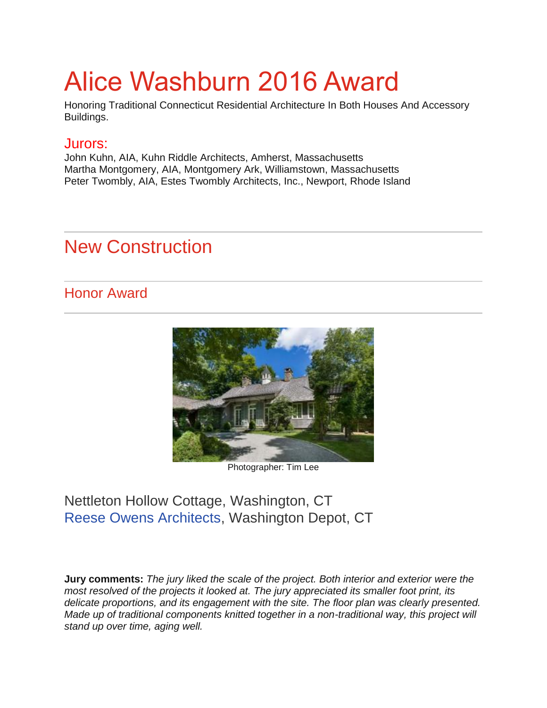# Alice Washburn 2016 Award

Honoring Traditional Connecticut Residential Architecture In Both Houses And Accessory Buildings.

#### Jurors:

John Kuhn, AIA, Kuhn Riddle Architects, Amherst, Massachusetts Martha Montgomery, AIA, Montgomery Ark, Williamstown, Massachusetts Peter Twombly, AIA, Estes Twombly Architects, Inc., Newport, Rhode Island

# New Construction

### Honor Award



Photographer: Tim Lee

### Nettleton Hollow Cottage, Washington, CT [Reese Owens Architects,](http://www.reeseowens.com/) Washington Depot, CT

**Jury comments:** *The jury liked the scale of the project. Both interior and exterior were the most resolved of the projects it looked at. The jury appreciated its smaller foot print, its delicate proportions, and its engagement with the site. The floor plan was clearly presented. Made up of traditional components knitted together in a non-traditional way, this project will stand up over time, aging well.*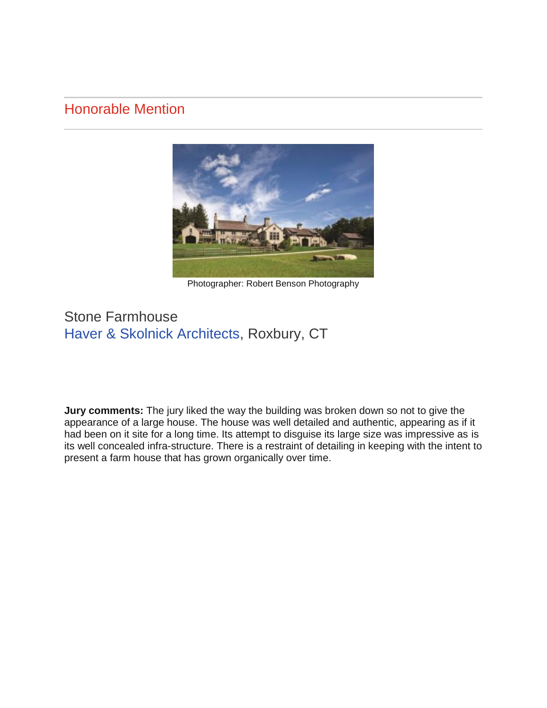#### Honorable Mention



Photographer: Robert Benson Photography

### Stone Farmhouse [Haver & Skolnick Architects,](http://www.haverskolnickarchitects.com/) Roxbury, CT

**Jury comments:** The jury liked the way the building was broken down so not to give the appearance of a large house. The house was well detailed and authentic, appearing as if it had been on it site for a long time. Its attempt to disguise its large size was impressive as is its well concealed infra-structure. There is a restraint of detailing in keeping with the intent to present a farm house that has grown organically over time.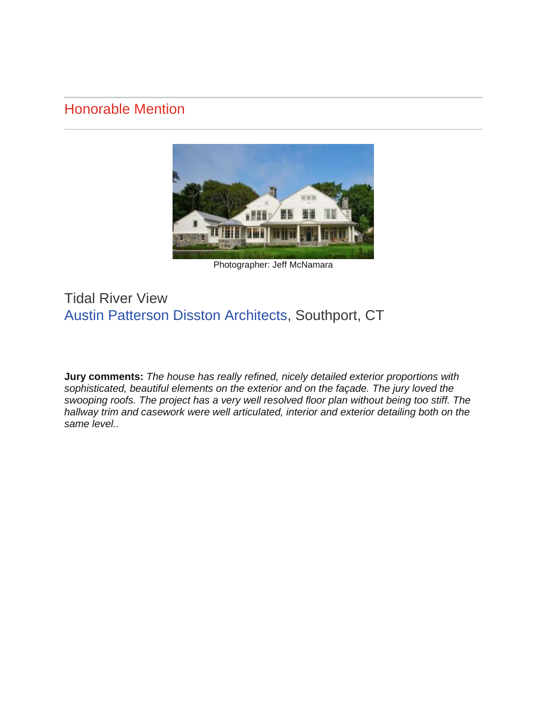### Honorable Mention



Photographer: Jeff McNamara

### Tidal River View [Austin Patterson Disston Architects,](http://www.apdarchitects.com/) Southport, CT

**Jury comments:** *The house has really refined, nicely detailed exterior proportions with sophisticated, beautiful elements on the exterior and on the façade. The jury loved the swooping roofs. The project has a very well resolved floor plan without being too stiff. The hallway trim and casework were well articulated, interior and exterior detailing both on the same level..*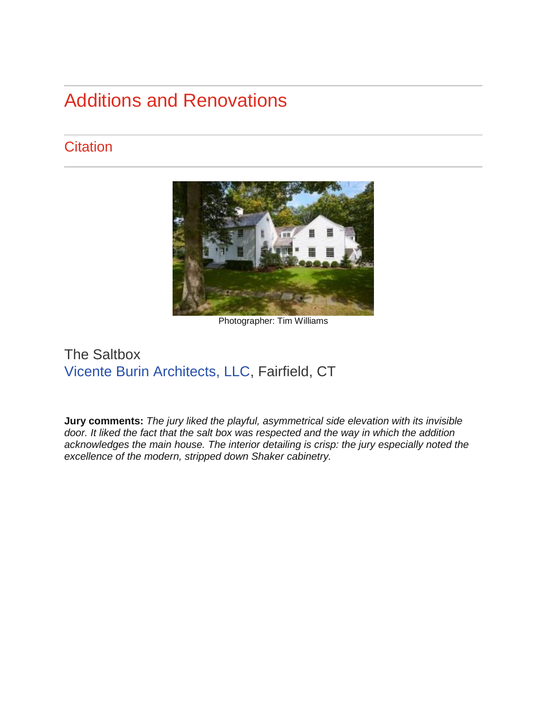# Additions and Renovations

# **Citation**



Photographer: Tim Williams

### The Saltbox [Vicente Burin Architects, LLC,](http://www.vbarchitect.com/) Fairfield, CT

**Jury comments:** *The jury liked the playful, asymmetrical side elevation with its invisible door. It liked the fact that the salt box was respected and the way in which the addition acknowledges the main house. The interior detailing is crisp: the jury especially noted the excellence of the modern, stripped down Shaker cabinetry.*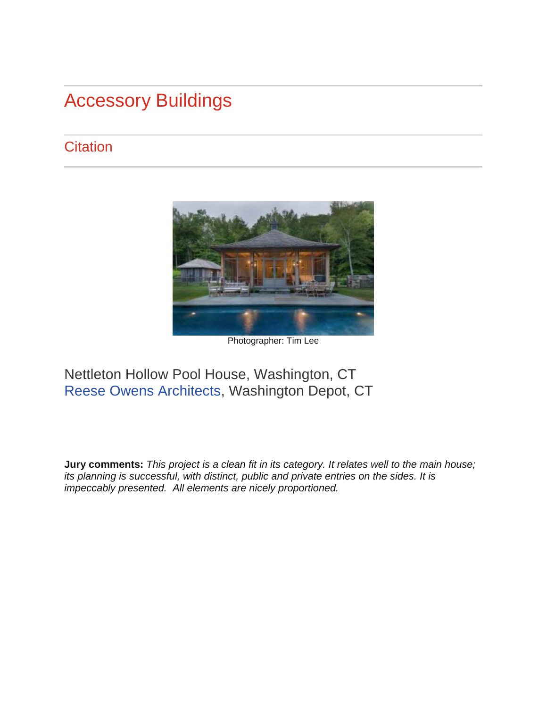# Accessory Buildings

# **Citation**



Photographer: Tim Lee

# Nettleton Hollow Pool House, Washington, CT [Reese Owens Architects,](http://www.reeseowens.com/) Washington Depot, CT

**Jury comments:** *This project is a clean fit in its category. It relates well to the main house; its planning is successful, with distinct, public and private entries on the sides. It is impeccably presented. All elements are nicely proportioned.*